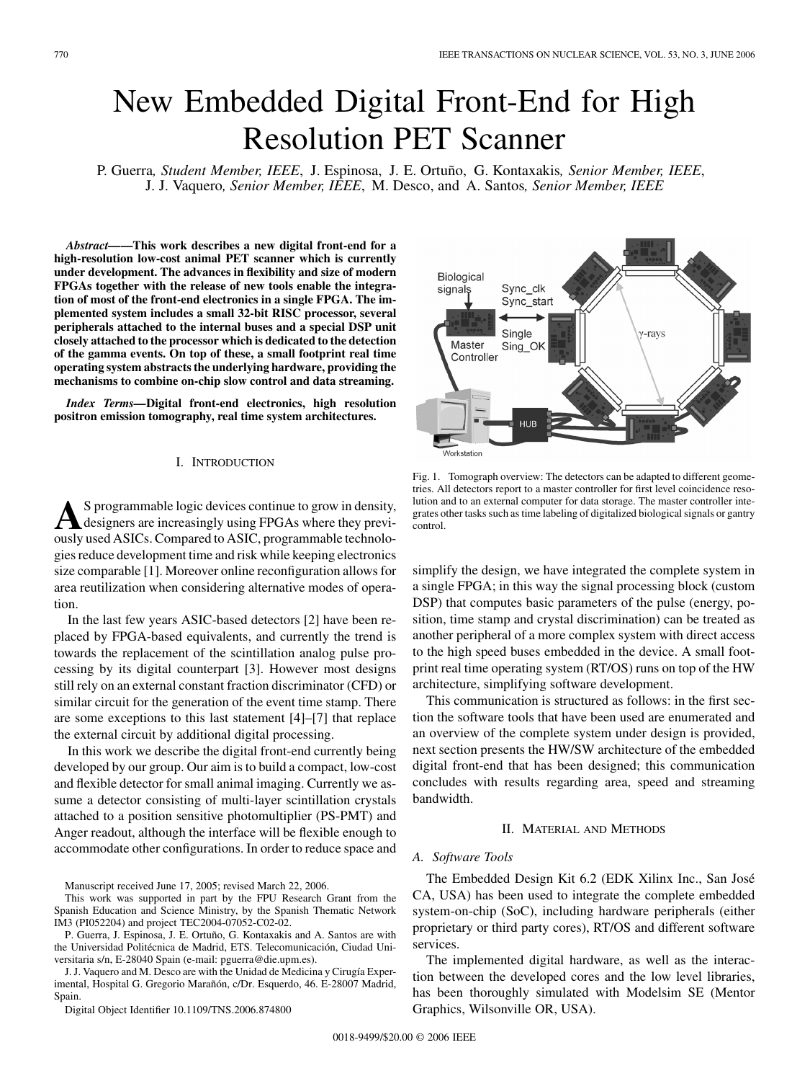# New Embedded Digital Front-End for High Resolution PET Scanner

P. Guerra*, Student Member, IEEE*, J. Espinosa, J. E. Ortuño, G. Kontaxakis*, Senior Member, IEEE*, J. J. Vaquero*, Senior Member, IEEE*, M. Desco, and A. Santos*, Senior Member, IEEE*

*Abstract—***—This work describes a new digital front-end for a high-resolution low-cost animal PET scanner which is currently under development. The advances in flexibility and size of modern FPGAs together with the release of new tools enable the integration of most of the front-end electronics in a single FPGA. The implemented system includes a small 32-bit RISC processor, several peripherals attached to the internal buses and a special DSP unit closely attached to the processor which is dedicated to the detection of the gamma events. On top of these, a small footprint real time operating system abstracts the underlying hardware, providing the mechanisms to combine on-chip slow control and data streaming.**

*Index Terms—***Digital front-end electronics, high resolution positron emission tomography, real time system architectures.**

#### I. INTRODUCTION

**A**S programmable logic devices continue to grow in density, designers are increasingly using FPGAs where they previously used ASICs. Compared to ASIC, programmable technologies reduce development time and risk while keeping electronics size comparable [\[1\].](#page-4-0) Moreover online reconfiguration allows for area reutilization when considering alternative modes of operation.

In the last few years ASIC-based detectors [\[2\]](#page-4-0) have been replaced by FPGA-based equivalents, and currently the trend is towards the replacement of the scintillation analog pulse processing by its digital counterpart [\[3\].](#page-4-0) However most designs still rely on an external constant fraction discriminator (CFD) or similar circuit for the generation of the event time stamp. There are some exceptions to this last statement [\[4\]](#page-4-0)[–\[7\]](#page-5-0) that replace the external circuit by additional digital processing.

In this work we describe the digital front-end currently being developed by our group. Our aim is to build a compact, low-cost and flexible detector for small animal imaging. Currently we assume a detector consisting of multi-layer scintillation crystals attached to a position sensitive photomultiplier (PS-PMT) and Anger readout, although the interface will be flexible enough to accommodate other configurations. In order to reduce space and

Manuscript received June 17, 2005; revised March 22, 2006.

This work was supported in part by the FPU Research Grant from the Spanish Education and Science Ministry, by the Spanish Thematic Network IM3 (PI052204) and project TEC2004-07052-C02-02.

P. Guerra, J. Espinosa, J. E. Ortuño, G. Kontaxakis and A. Santos are with the Universidad Politécnica de Madrid, ETS. Telecomunicación, Ciudad Universitaria s/n, E-28040 Spain (e-mail: pguerra@die.upm.es).

J. J. Vaquero and M. Desco are with the Unidad de Medicina y Cirugía Experimental, Hospital G. Gregorio Marañón, c/Dr. Esquerdo, 46. E-28007 Madrid, Spain.

Digital Object Identifier 10.1109/TNS.2006.874800



Fig. 1. Tomograph overview: The detectors can be adapted to different geometries. All detectors report to a master controller for first level coincidence resolution and to an external computer for data storage. The master controller integrates other tasks such as time labeling of digitalized biological signals or gantry control.

simplify the design, we have integrated the complete system in a single FPGA; in this way the signal processing block (custom DSP) that computes basic parameters of the pulse (energy, position, time stamp and crystal discrimination) can be treated as another peripheral of a more complex system with direct access to the high speed buses embedded in the device. A small footprint real time operating system (RT/OS) runs on top of the HW architecture, simplifying software development.

This communication is structured as follows: in the first section the software tools that have been used are enumerated and an overview of the complete system under design is provided, next section presents the HW/SW architecture of the embedded digital front-end that has been designed; this communication concludes with results regarding area, speed and streaming bandwidth.

## II. MATERIAL AND METHODS

# *A. Software Tools*

The Embedded Design Kit 6.2 (EDK Xilinx Inc., San José CA, USA) has been used to integrate the complete embedded system-on-chip (SoC), including hardware peripherals (either proprietary or third party cores), RT/OS and different software services.

The implemented digital hardware, as well as the interaction between the developed cores and the low level libraries, has been thoroughly simulated with Modelsim SE (Mentor Graphics, Wilsonville OR, USA).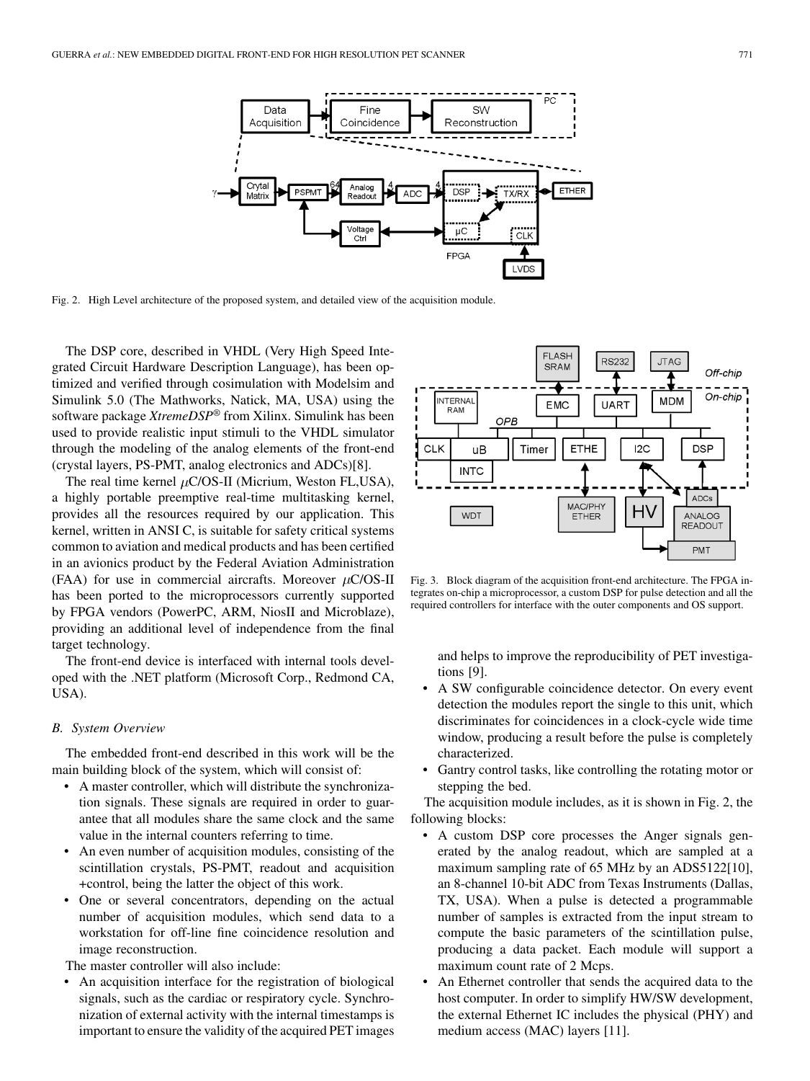<span id="page-1-0"></span>

Fig. 2. High Level architecture of the proposed system, and detailed view of the acquisition module.

The DSP core, described in VHDL (Very High Speed Integrated Circuit Hardware Description Language), has been optimized and verified through cosimulation with Modelsim and Simulink 5.0 (The Mathworks, Natick, MA, USA) using the software package *XtremeDSP*® from Xilinx. Simulink has been used to provide realistic input stimuli to the VHDL simulator through the modeling of the analog elements of the front-end (crystal layers, PS-PMT, analog electronics and ADCs[\)\[8\]](#page-5-0).

The real time kernel  $\mu$ C/OS-II (Micrium, Weston FL,USA), a highly portable preemptive real-time multitasking kernel, provides all the resources required by our application. This kernel, written in ANSI C, is suitable for safety critical systems common to aviation and medical products and has been certified in an avionics product by the Federal Aviation Administration (FAA) for use in commercial aircrafts. Moreover  $\mu$ C/OS-II has been ported to the microprocessors currently supported by FPGA vendors (PowerPC, ARM, NiosII and Microblaze), providing an additional level of independence from the final target technology.

The front-end device is interfaced with internal tools developed with the .NET platform (Microsoft Corp., Redmond CA, USA).

# *B. System Overview*

The embedded front-end described in this work will be the main building block of the system, which will consist of:

- A master controller, which will distribute the synchronization signals. These signals are required in order to guarantee that all modules share the same clock and the same value in the internal counters referring to time.
- An even number of acquisition modules, consisting of the scintillation crystals, PS-PMT, readout and acquisition +control, being the latter the object of this work.
- One or several concentrators, depending on the actual number of acquisition modules, which send data to a workstation for off-line fine coincidence resolution and image reconstruction.

The master controller will also include:

• An acquisition interface for the registration of biological signals, such as the cardiac or respiratory cycle. Synchronization of external activity with the internal timestamps is important to ensure the validity of the acquired PET images



Fig. 3. Block diagram of the acquisition front-end architecture. The FPGA integrates on-chip a microprocessor, a custom DSP for pulse detection and all the required controllers for interface with the outer components and OS support.

and helps to improve the reproducibility of PET investigations [\[9\]](#page-5-0).

- A SW configurable coincidence detector. On every event detection the modules report the single to this unit, which discriminates for coincidences in a clock-cycle wide time window, producing a result before the pulse is completely characterized.
- Gantry control tasks, like controlling the rotating motor or stepping the bed.

The acquisition module includes, as it is shown in Fig. 2, the following blocks:

- A custom DSP core processes the Anger signals generated by the analog readout, which are sampled at a maximum sampling rate of 65 MHz by an ADS512[2\[10\],](#page-5-0) an 8-channel 10-bit ADC from Texas Instruments (Dallas, TX, USA). When a pulse is detected a programmable number of samples is extracted from the input stream to compute the basic parameters of the scintillation pulse, producing a data packet. Each module will support a maximum count rate of 2 Mcps.
- An Ethernet controller that sends the acquired data to the host computer. In order to simplify HW/SW development, the external Ethernet IC includes the physical (PHY) and medium access (MAC) layers [\[11\]](#page-5-0).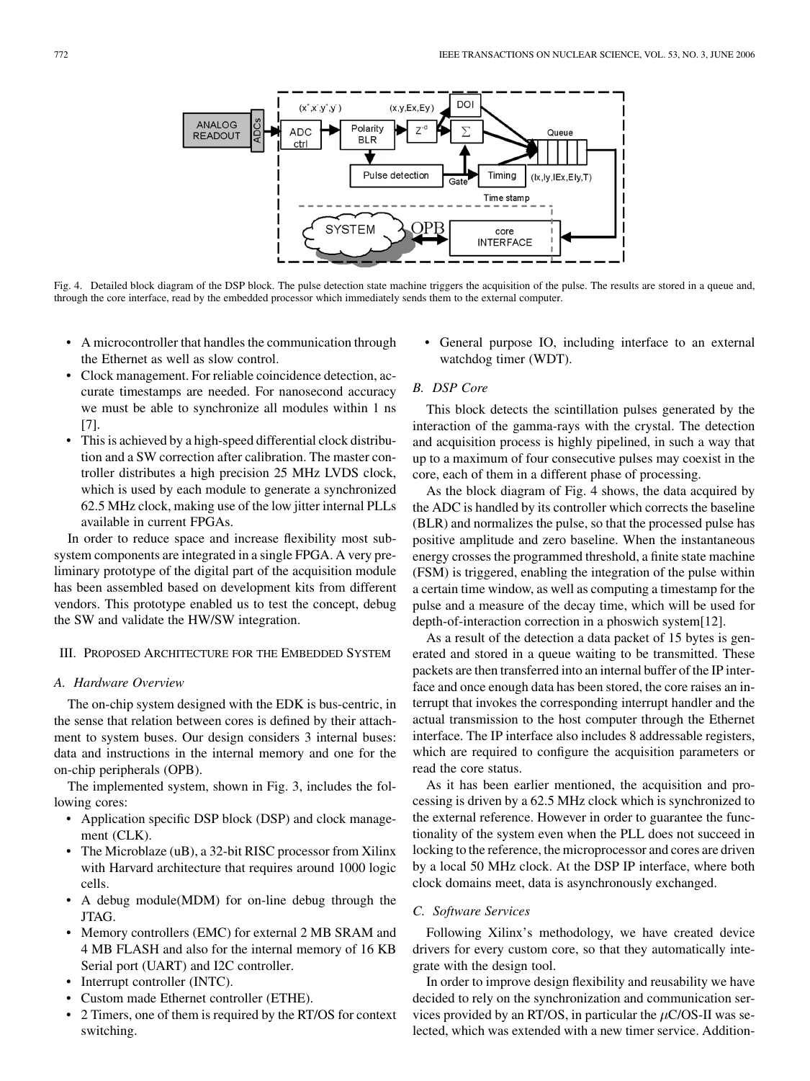

Fig. 4. Detailed block diagram of the DSP block. The pulse detection state machine triggers the acquisition of the pulse. The results are stored in a queue and, through the core interface, read by the embedded processor which immediately sends them to the external computer.

- A microcontroller that handles the communication through the Ethernet as well as slow control.
- Clock management. For reliable coincidence detection, accurate timestamps are needed. For nanosecond accuracy we must be able to synchronize all modules within 1 ns [\[7\]](#page-5-0).
- This is achieved by a high-speed differential clock distribution and a SW correction after calibration. The master controller distributes a high precision 25 MHz LVDS clock, which is used by each module to generate a synchronized 62.5 MHz clock, making use of the low jitter internal PLLs available in current FPGAs.

In order to reduce space and increase flexibility most subsystem components are integrated in a single FPGA. A very preliminary prototype of the digital part of the acquisition module has been assembled based on development kits from different vendors. This prototype enabled us to test the concept, debug the SW and validate the HW/SW integration.

## III. PROPOSED ARCHITECTURE FOR THE EMBEDDED SYSTEM

## *A. Hardware Overview*

The on-chip system designed with the EDK is bus-centric, in the sense that relation between cores is defined by their attachment to system buses. Our design considers 3 internal buses: data and instructions in the internal memory and one for the on-chip peripherals (OPB).

The implemented system, shown in [Fig. 3](#page-1-0), includes the following cores:

- Application specific DSP block (DSP) and clock management (CLK).
- The Microblaze (uB), a 32-bit RISC processor from Xilinx with Harvard architecture that requires around 1000 logic cells.
- A debug module(MDM) for on-line debug through the JTAG.
- Memory controllers (EMC) for external 2 MB SRAM and 4 MB FLASH and also for the internal memory of 16 KB Serial port (UART) and I2C controller.
- Interrupt controller (INTC).
- Custom made Ethernet controller (ETHE).
- 2 Timers, one of them is required by the RT/OS for context switching.

• General purpose IO, including interface to an external watchdog timer (WDT).

## *B. DSP Core*

This block detects the scintillation pulses generated by the interaction of the gamma-rays with the crystal. The detection and acquisition process is highly pipelined, in such a way that up to a maximum of four consecutive pulses may coexist in the core, each of them in a different phase of processing.

As the block diagram of Fig. 4 shows, the data acquired by the ADC is handled by its controller which corrects the baseline (BLR) and normalizes the pulse, so that the processed pulse has positive amplitude and zero baseline. When the instantaneous energy crosses the programmed threshold, a finite state machine (FSM) is triggered, enabling the integration of the pulse within a certain time window, as well as computing a timestamp for the pulse and a measure of the decay time, which will be used for depth-of-interaction correction in a phoswich syste[m\[12\]](#page-5-0).

As a result of the detection a data packet of 15 bytes is generated and stored in a queue waiting to be transmitted. These packets are then transferred into an internal buffer of the IP interface and once enough data has been stored, the core raises an interrupt that invokes the corresponding interrupt handler and the actual transmission to the host computer through the Ethernet interface. The IP interface also includes 8 addressable registers, which are required to configure the acquisition parameters or read the core status.

As it has been earlier mentioned, the acquisition and processing is driven by a 62.5 MHz clock which is synchronized to the external reference. However in order to guarantee the functionality of the system even when the PLL does not succeed in locking to the reference, the microprocessor and cores are driven by a local 50 MHz clock. At the DSP IP interface, where both clock domains meet, data is asynchronously exchanged.

### *C. Software Services*

Following Xilinx's methodology, we have created device drivers for every custom core, so that they automatically integrate with the design tool.

In order to improve design flexibility and reusability we have decided to rely on the synchronization and communication services provided by an RT/OS, in particular the  $\mu$ C/OS-II was selected, which was extended with a new timer service. Addition-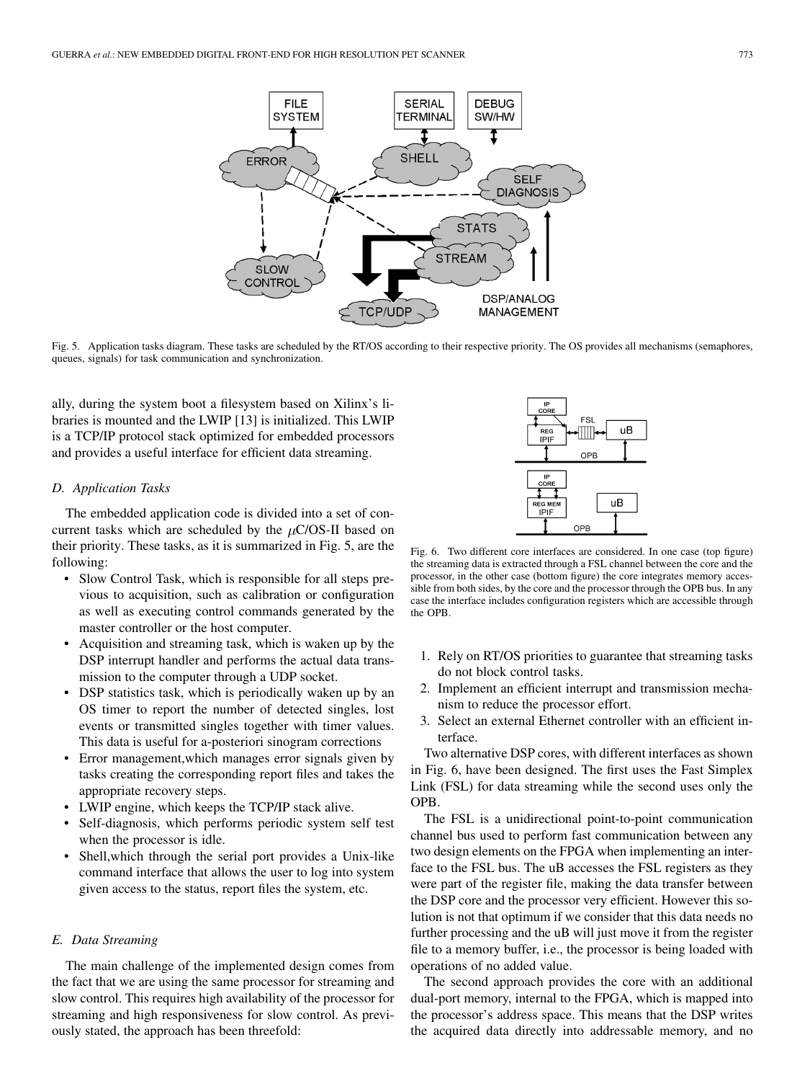

Fig. 5. Application tasks diagram. These tasks are scheduled by the RT/OS according to their respective priority. The OS provides all mechanisms (semaphores, queues, signals) for task communication and synchronization.

ally, during the system boot a filesystem based on Xilinx's libraries is mounted and the LWIP [\[13\]](#page-5-0) is initialized. This LWIP is a TCP/IP protocol stack optimized for embedded processors and provides a useful interface for efficient data streaming.

#### *D. Application Tasks*

The embedded application code is divided into a set of concurrent tasks which are scheduled by the  $\mu$ C/OS-II based on their priority. These tasks, as it is summarized in Fig. 5, are the following:

- Slow Control Task, which is responsible for all steps previous to acquisition, such as calibration or configuration as well as executing control commands generated by the master controller or the host computer.
- Acquisition and streaming task, which is waken up by the DSP interrupt handler and performs the actual data transmission to the computer through a UDP socket.
- DSP statistics task, which is periodically waken up by an OS timer to report the number of detected singles, lost events or transmitted singles together with timer values. This data is useful for a-posteriori sinogram corrections
- Error management,which manages error signals given by tasks creating the corresponding report files and takes the appropriate recovery steps.
- LWIP engine, which keeps the TCP/IP stack alive.
- Self-diagnosis, which performs periodic system self test when the processor is idle.
- Shell,which through the serial port provides a Unix-like command interface that allows the user to log into system given access to the status, report files the system, etc.

#### *E. Data Streaming*

The main challenge of the implemented design comes from the fact that we are using the same processor for streaming and slow control. This requires high availability of the processor for streaming and high responsiveness for slow control. As previously stated, the approach has been threefold:



Fig. 6. Two different core interfaces are considered. In one case (top figure) the streaming data is extracted through a FSL channel between the core and the processor, in the other case (bottom figure) the core integrates memory accessible from both sides, by the core and the processor through the OPB bus. In any case the interface includes configuration registers which are accessible through the OPB.

- 1. Rely on RT/OS priorities to guarantee that streaming tasks do not block control tasks.
- 2. Implement an efficient interrupt and transmission mechanism to reduce the processor effort.
- 3. Select an external Ethernet controller with an efficient interface.

Two alternative DSP cores, with different interfaces as shown in Fig. 6, have been designed. The first uses the Fast Simplex Link (FSL) for data streaming while the second uses only the OPB.

The FSL is a unidirectional point-to-point communication channel bus used to perform fast communication between any two design elements on the FPGA when implementing an interface to the FSL bus. The uB accesses the FSL registers as they were part of the register file, making the data transfer between the DSP core and the processor very efficient. However this solution is not that optimum if we consider that this data needs no further processing and the uB will just move it from the register file to a memory buffer, i.e., the processor is being loaded with operations of no added value.

The second approach provides the core with an additional dual-port memory, internal to the FPGA, which is mapped into the processor's address space. This means that the DSP writes the acquired data directly into addressable memory, and no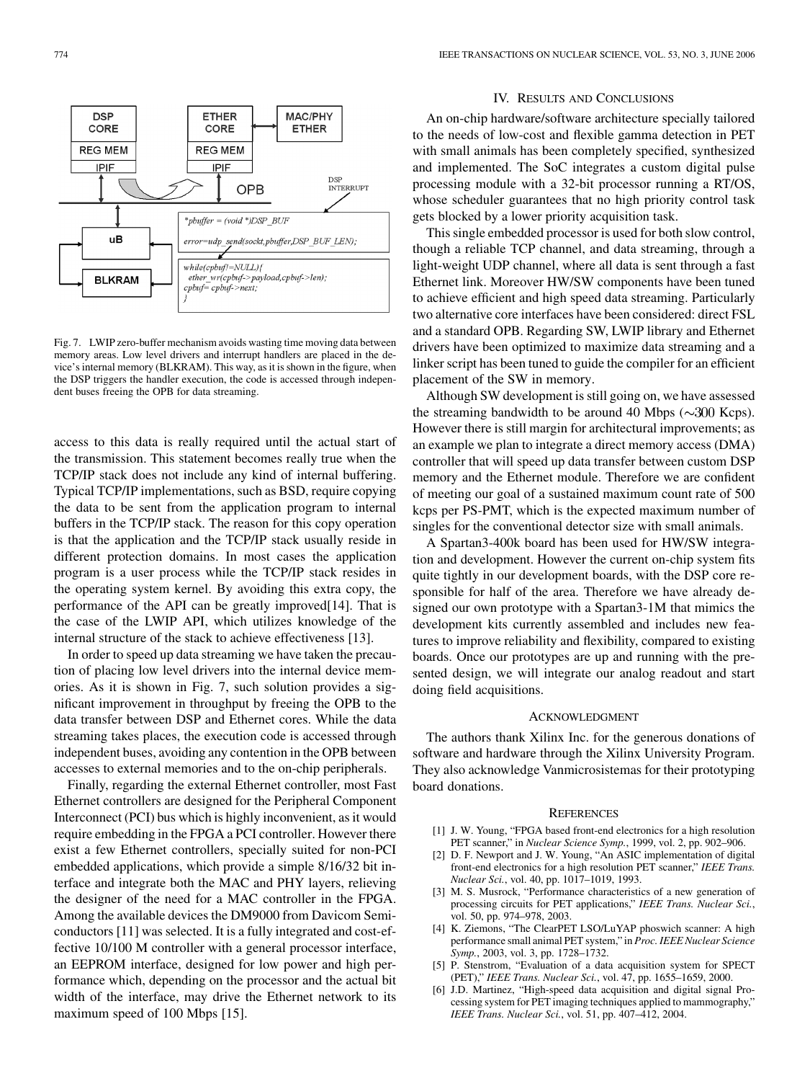<span id="page-4-0"></span>

Fig. 7. LWIP zero-buffer mechanism avoids wasting time moving data between memory areas. Low level drivers and interrupt handlers are placed in the device's internal memory (BLKRAM). This way, as it is shown in the figure, when the DSP triggers the handler execution, the code is accessed through independent buses freeing the OPB for data streaming.

access to this data is really required until the actual start of the transmission. This statement becomes really true when the TCP/IP stack does not include any kind of internal buffering. Typical TCP/IP implementations, such as BSD, require copying the data to be sent from the application program to internal buffers in the TCP/IP stack. The reason for this copy operation is that the application and the TCP/IP stack usually reside in different protection domains. In most cases the application program is a user process while the TCP/IP stack resides in the operating system kernel. By avoiding this extra copy, the performance of the API can be greatly improved[\[14\]](#page-5-0). That is the case of the LWIP API, which utilizes knowledge of the internal structure of the stack to achieve effectiveness [\[13\].](#page-5-0)

In order to speed up data streaming we have taken the precaution of placing low level drivers into the internal device memories. As it is shown in Fig. 7, such solution provides a significant improvement in throughput by freeing the OPB to the data transfer between DSP and Ethernet cores. While the data streaming takes places, the execution code is accessed through independent buses, avoiding any contention in the OPB between accesses to external memories and to the on-chip peripherals.

Finally, regarding the external Ethernet controller, most Fast Ethernet controllers are designed for the Peripheral Component Interconnect (PCI) bus which is highly inconvenient, as it would require embedding in the FPGA a PCI controller. However there exist a few Ethernet controllers, specially suited for non-PCI embedded applications, which provide a simple 8/16/32 bit interface and integrate both the MAC and PHY layers, relieving the designer of the need for a MAC controller in the FPGA. Among the available devices the DM9000 from Davicom Semiconductors [\[11\]](#page-5-0) was selected. It is a fully integrated and cost-effective 10/100 M controller with a general processor interface, an EEPROM interface, designed for low power and high performance which, depending on the processor and the actual bit width of the interface, may drive the Ethernet network to its maximum speed of 100 Mbps [\[15\]](#page-5-0).

### IV. RESULTS AND CONCLUSIONS

An on-chip hardware/software architecture specially tailored to the needs of low-cost and flexible gamma detection in PET with small animals has been completely specified, synthesized and implemented. The SoC integrates a custom digital pulse processing module with a 32-bit processor running a RT/OS, whose scheduler guarantees that no high priority control task gets blocked by a lower priority acquisition task.

This single embedded processor is used for both slow control, though a reliable TCP channel, and data streaming, through a light-weight UDP channel, where all data is sent through a fast Ethernet link. Moreover HW/SW components have been tuned to achieve efficient and high speed data streaming. Particularly two alternative core interfaces have been considered: direct FSL and a standard OPB. Regarding SW, LWIP library and Ethernet drivers have been optimized to maximize data streaming and a linker script has been tuned to guide the compiler for an efficient placement of the SW in memory.

Although SW development is still going on, we have assessed the streaming bandwidth to be around 40 Mbps  $(\sim]300$  Kcps). However there is still margin for architectural improvements; as an example we plan to integrate a direct memory access (DMA) controller that will speed up data transfer between custom DSP memory and the Ethernet module. Therefore we are confident of meeting our goal of a sustained maximum count rate of 500 kcps per PS-PMT, which is the expected maximum number of singles for the conventional detector size with small animals.

A Spartan3-400k board has been used for HW/SW integration and development. However the current on-chip system fits quite tightly in our development boards, with the DSP core responsible for half of the area. Therefore we have already designed our own prototype with a Spartan3-1M that mimics the development kits currently assembled and includes new features to improve reliability and flexibility, compared to existing boards. Once our prototypes are up and running with the presented design, we will integrate our analog readout and start doing field acquisitions.

#### ACKNOWLEDGMENT

The authors thank Xilinx Inc. for the generous donations of software and hardware through the Xilinx University Program. They also acknowledge Vanmicrosistemas for their prototyping board donations.

#### **REFERENCES**

- [1] J. W. Young, "FPGA based front-end electronics for a high resolution PET scanner," in *Nuclear Science Symp.*, 1999, vol. 2, pp. 902–906.
- [2] D. F. Newport and J. W. Young, "An ASIC implementation of digital front-end electronics for a high resolution PET scanner," *IEEE Trans. Nuclear Sci.*, vol. 40, pp. 1017–1019, 1993.
- [3] M. S. Musrock, "Performance characteristics of a new generation of processing circuits for PET applications," *IEEE Trans. Nuclear Sci.*, vol. 50, pp. 974–978, 2003.
- [4] K. Ziemons, "The ClearPET LSO/LuYAP phoswich scanner: A high performance small animal PET system," in *Proc. IEEE Nuclear Science Symp.*, 2003, vol. 3, pp. 1728–1732.
- [5] P. Stenstrom, "Evaluation of a data acquisition system for SPECT (PET)," *IEEE Trans. Nuclear Sci.*, vol. 47, pp. 1655–1659, 2000.
- [6] J.D. Martinez, "High-speed data acquisition and digital signal Processing system for PET imaging techniques applied to mammography," *IEEE Trans. Nuclear Sci.*, vol. 51, pp. 407–412, 2004.